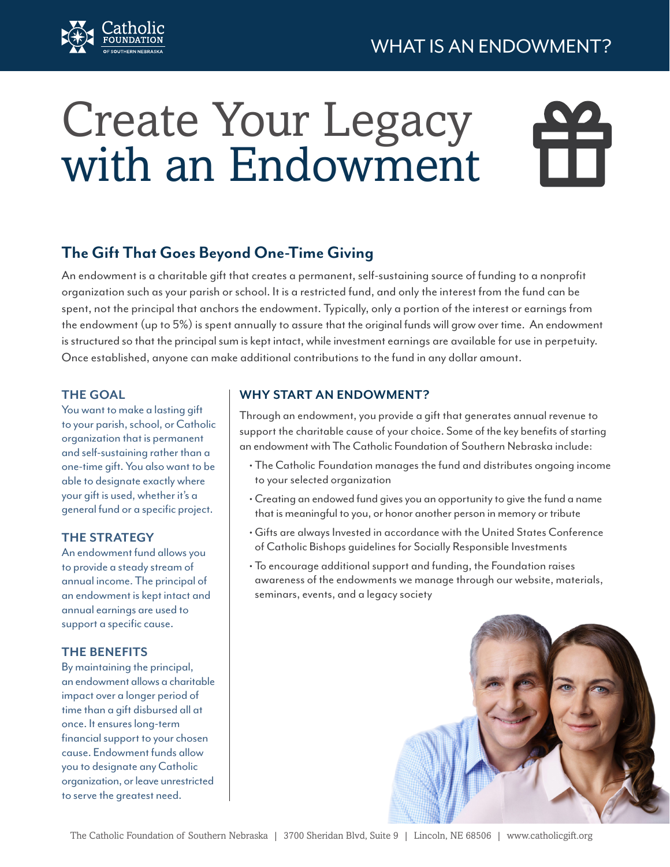

# Create Your Legacy with an Endowment

### **The Gift That Goes Beyond One-Time Giving**

An endowment is a charitable gift that creates a permanent, self-sustaining source of funding to a nonprofit organization such as your parish or school. It is a restricted fund, and only the interest from the fund can be spent, not the principal that anchors the endowment. Typically, only a portion of the interest or earnings from the endowment (up to 5%) is spent annually to assure that the original funds will grow over time. An endowment is structured so that the principal sum is kept intact, while investment earnings are available for use in perpetuity. Once established, anyone can make additional contributions to the fund in any dollar amount.

#### **THE GOAL**

You want to make a lasting gift to your parish, school, or Catholic organization that is permanent and self-sustaining rather than a one-time gift. You also want to be able to designate exactly where your gift is used, whether it's a general fund or a specific project.

#### **THE STRATEGY**

An endowment fund allows you to provide a steady stream of annual income. The principal of an endowment is kept intact and annual earnings are used to support a specific cause.

#### **THE BENEFITS**

By maintaining the principal, an endowment allows a charitable impact over a longer period of time than a gift disbursed all at once. It ensures long-term financial support to your chosen cause. Endowment funds allow you to designate any Catholic organization, or leave unrestricted to serve the greatest need.

#### **WHY START AN ENDOWMENT?**

Through an endowment, you provide a gift that generates annual revenue to support the charitable cause of your choice. Some of the key benefits of starting an endowment with The Catholic Foundation of Southern Nebraska include:

- The Catholic Foundation manages the fund and distributes ongoing income to your selected organization
- Creating an endowed fund gives you an opportunity to give the fund a name that is meaningful to you, or honor another person in memory or tribute
- Gifts are always Invested in accordance with the United States Conference of Catholic Bishops guidelines for Socially Responsible Investments
- To encourage additional support and funding, the Foundation raises awareness of the endowments we manage through our website, materials, seminars, events, and a legacy society